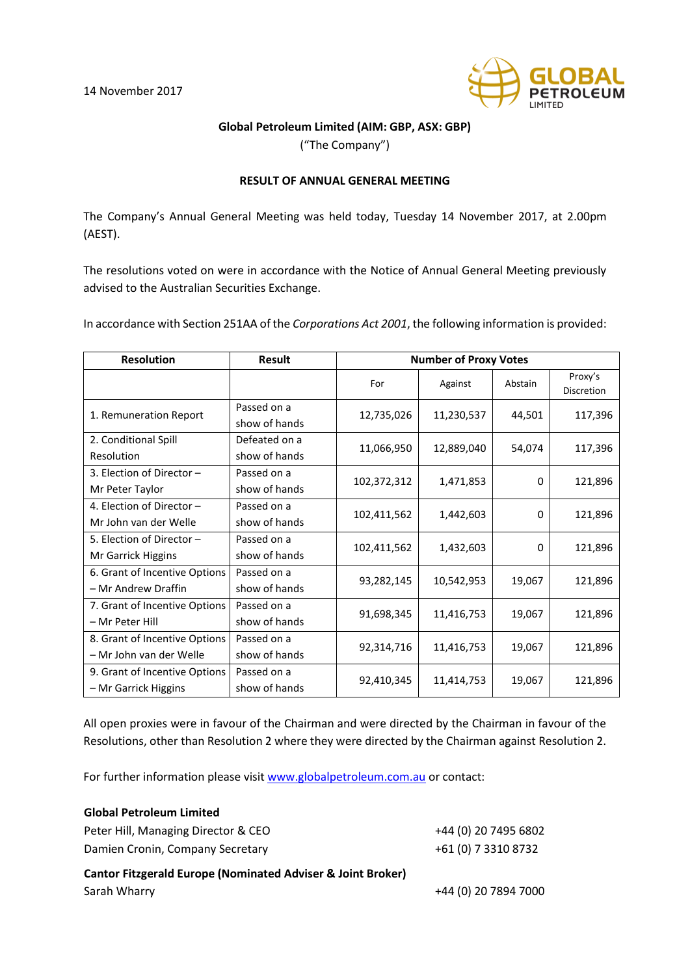

## **Global Petroleum Limited (AIM: GBP, ASX: GBP)**

("The Company")

## **RESULT OF ANNUAL GENERAL MEETING**

The Company's Annual General Meeting was held today, Tuesday 14 November 2017, at 2.00pm (AEST).

The resolutions voted on were in accordance with the Notice of Annual General Meeting previously advised to the Australian Securities Exchange.

In accordance with Section 251AA of the *Corporations Act 2001*, the following information is provided:

| <b>Resolution</b>                                        | Result                         | <b>Number of Proxy Votes</b> |            |         |                              |
|----------------------------------------------------------|--------------------------------|------------------------------|------------|---------|------------------------------|
|                                                          |                                | For                          | Against    | Abstain | Proxy's<br><b>Discretion</b> |
| 1. Remuneration Report                                   | Passed on a<br>show of hands   | 12,735,026                   | 11,230,537 | 44,501  | 117,396                      |
| 2. Conditional Spill<br>Resolution                       | Defeated on a<br>show of hands | 11,066,950                   | 12,889,040 | 54,074  | 117,396                      |
| 3. Election of Director -<br>Mr Peter Taylor             | Passed on a<br>show of hands   | 102,372,312                  | 1,471,853  | 0       | 121,896                      |
| 4. Election of Director -<br>Mr John van der Welle       | Passed on a<br>show of hands   | 102,411,562                  | 1,442,603  | 0       | 121,896                      |
| 5. Election of Director -<br>Mr Garrick Higgins          | Passed on a<br>show of hands   | 102,411,562                  | 1,432,603  | 0       | 121,896                      |
| 6. Grant of Incentive Options<br>- Mr Andrew Draffin     | Passed on a<br>show of hands   | 93,282,145                   | 10,542,953 | 19,067  | 121,896                      |
| 7. Grant of Incentive Options<br>- Mr Peter Hill         | Passed on a<br>show of hands   | 91,698,345                   | 11,416,753 | 19,067  | 121,896                      |
| 8. Grant of Incentive Options<br>– Mr John van der Welle | Passed on a<br>show of hands   | 92,314,716                   | 11,416,753 | 19,067  | 121,896                      |
| 9. Grant of Incentive Options<br>- Mr Garrick Higgins    | Passed on a<br>show of hands   | 92,410,345                   | 11,414,753 | 19,067  | 121,896                      |

All open proxies were in favour of the Chairman and were directed by the Chairman in favour of the Resolutions, other than Resolution 2 where they were directed by the Chairman against Resolution 2.

For further information please visit [www.globalpetroleum.com.au](http://www.globalpetroleum.com.au/) or contact:

| <b>Global Petroleum Limited</b>                                        |                      |  |  |  |
|------------------------------------------------------------------------|----------------------|--|--|--|
| Peter Hill, Managing Director & CEO                                    | +44 (0) 20 7495 6802 |  |  |  |
| Damien Cronin, Company Secretary                                       | +61 (0) 7 3310 8732  |  |  |  |
| <b>Cantor Fitzgerald Europe (Nominated Adviser &amp; Joint Broker)</b> |                      |  |  |  |
| Sarah Wharry                                                           | +44 (0) 20 7894 7000 |  |  |  |